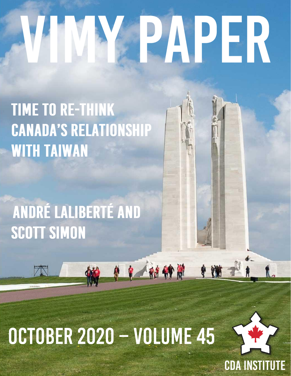# PAPER

# **TIME TO RE-THINK CANADA'S RELATIONSHIP WITH TAIWAN**

# ANDRÉ LALIBERTÉ AND SCOTT SIMON

# OCTOBER 2020 - VOLUME 45

中国特别



U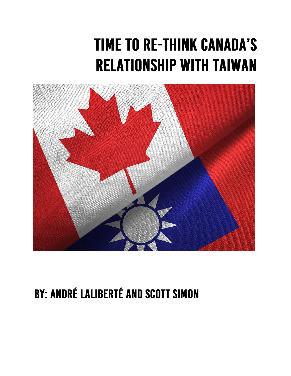# **TIME TO RE-THINK CANADA'S RELATIONSHIP WITH TAIWAN**



### **BY: ANDRÉ LALIBERTÉ AND SCOTT SIMON**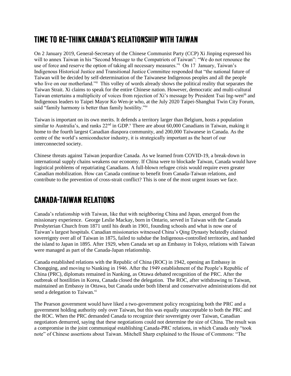#### TIME TO RE-THINK CANADA'S RELATIONSHIP WITH TAIWAN

On 2 January 2019, General-Secretary of the Chinese Communist Party (CCP) Xi Jinping expressed his will to annex Taiwan in his "Second Message to the Compatriots of Taiwan": "We do not renounce the use of force and reserve the option of taking all necessary measures." On 17 January, Taiwan's Indigenous Historical Justice and Transitional Justice Committee responded that "the national future of Taiwan will be decided by self-determination of the Taiwanese Indigenous peoples and all the people who live on our motherland."ii This volley of words already shows the political reality that separates the Taiwan Strait. Xi claims to speak for the entire Chinese nation. However, democratic and multi-cultural Taiwan entertains a multiplicity of voices from rejection of Xi's message by President Tsai Ing-weniii and Indigenous leaders to Taipei Mayor Ko Wen-je who, at the July 2020 Taipei-Shanghai Twin City Forum, said "family harmony is better than family hostility."<sup>iv</sup>

Taiwan is important on its own merits. It defends a territory larger than Belgium, hosts a population similar to Australia's, and ranks 22<sup>nd</sup> in GDP.<sup>v</sup> There are about 60,000 Canadians in Taiwan, making it home to the fourth largest Canadian diaspora community, and 200,000 Taiwanese in Canada. As the centre of the world's semiconductor industry, it is strategically important as the heart of our interconnected society.

Chinese threats against Taiwan jeopardize Canada. As we learned from COVID-19, a break-down in international supply chains weakens our economy. If China were to blockade Taiwan, Canada would have logistical problems of repatriating Canadians. A full-blown refugee crisis would require even greater Canadian mobilization. How can Canada continue to benefit from Canada-Taiwan relations, and contribute to the prevention of cross-strait conflict? This is one of the most urgent issues we face.

#### **CANADA-TAIWAN RELATIONS**

Canada's relationship with Taiwan, like that with neighboring China and Japan, emerged from the missionary experience. George Leslie Mackay, born in Ontario, served in Taiwan with the Canada Presbyterian Church from 1871 until his death in 1901, founding schools and what is now one of Taiwan's largest hospitals. Canadian missionaries witnessed China's Qing Dynasty belatedly claimed sovereignty over all of Taiwan in 1875, failed to subdue the Indigenous-controlled territories, and handed the island to Japan in 1895. After 1929, when Canada set up an Embassy in Tokyo, relations with Taiwan were managed as part of the Canada-Japan relationship.

Canada established relations with the Republic of China (ROC) in 1942, opening an Embassy in Chongqing, and moving to Nanking in 1946. After the 1949 establishment of the People's Republic of China (PRC), diplomats remained in Nanking, as Ottawa debated recognition of the PRC. After the outbreak of hostilities in Korea, Canada closed the delegation. The ROC, after withdrawing to Taiwan, maintained an Embassy in Ottawa, but Canada under both liberal and conservative administrations did not send a delegation to Taiwan.<sup>vi</sup>

The Pearson government would have liked a two-government policy recognizing both the PRC and a government holding authority only over Taiwan, but this was equally unacceptable to both the PRC and the ROC. When the PRC demanded Canada to recognize their sovereignty over Taiwan, Canadian negotiators demurred, saying that these negotiations could not determine the size of China. The result was a compromise in the joint communiqué establishing Canada-PRC relations, in which Canada only "took note" of Chinese assertions about Taiwan. Mitchell Sharp explained to the House of Commons: "The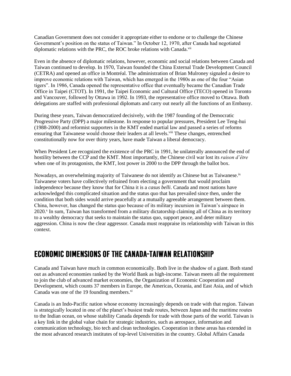Canadian Government does not consider it appropriate either to endorse or to challenge the Chinese Government's position on the status of Taiwan." In October 12, 1970, after Canada had negotiated diplomatic relations with the PRC, the ROC broke relations with Canada.<sup>vii</sup>

Even in the absence of diplomatic relations, however, economic and social relations between Canada and Taiwan continued to develop. In 1970, Taiwan founded the China External Trade Development Council (CETRA) and opened an office in Montréal. The administration of Brian Mulroney signaled a desire to improve economic relations with Taiwan, which has emerged in the 1980s as one of the four "Asian tigers". In 1986, Canada opened the representative office that eventually became the Canadian Trade Office in Taipei (CTOT). In 1991, the Taipei Economic and Cultural Office (TECO) opened in Toronto and Vancouver, followed by Ottawa in 1992. In 1993, the representative office moved to Ottawa. Both delegations are staffed with professional diplomats and carry out nearly all the functions of an Embassy.

During these years, Taiwan democratized decisively, with the 1987 founding of the Democratic Progressive Party (DPP) a major milestone. In response to popular pressures, President Lee Teng-hui (1988-2000) and reformist supporters in the KMT ended martial law and passed a series of reforms ensuring that Taiwanese would choose their leaders at all levels.<sup>viii</sup> These changes, entrenched constitutionally now for over thirty years, have made Taiwan a liberal democracy.

When President Lee recognized the existence of the PRC in 1991, he unilaterally announced the end of hostility between the CCP and the KMT. Most importantly, the Chinese civil war lost its *raison d'être* when one of its protagonists, the KMT, lost power in 2000 to the DPP through the ballot box.

Nowadays, an overwhelming majority of Taiwanese do not identify as Chinese but as Taiwanese.<sup>ix</sup> Taiwanese voters have collectively refrained from electing a government that would proclaim independence because they know that for China it is a *casus belli*. Canada and most nations have acknowledged this complicated situation and the status quo that has prevailed since then, under the condition that both sides would arrive peacefully at a mutually agreeable arrangement between them. China, however, has changed the status quo because of its military incursion in Taiwan's airspace in 2020.<sup>x</sup> In sum, Taiwan has transformed from a military dictatorship claiming all of China as its territory to a wealthy democracy that seeks to maintain the status quo, support peace, and deter military aggression. China is now the clear aggressor. Canada must reappraise its relationship with Taiwan in this context.

#### **ECONOMIC DIMENSIONS OF THE CANADA-TAIWAN RELATIONSHIP**

Canada and Taiwan have much in common economically. Both live in the shadow of a giant. Both stand out as advanced economies ranked by the World Bank as high-income. Taiwan meets all the requirement to join the club of advanced market economies, the Organization of Economic Cooperation and Development, which counts 37 members in Europe, the Americas, Oceania, and East Asia, and of which Canada was one of the 19 founding members. $x_i$ 

Canada is an Indo-Pacific nation whose economy increasingly depends on trade with that region. Taiwan is strategically located in one of the planet's busiest trade routes, between Japan and the maritime routes to the Indian ocean, on whose stability Canada depends for trade with those parts of the world. Taiwan is a key link in the global value chain for strategic industries, such as aerospace, information and communication technology, bio tech and clean technologies. Cooperation in these areas has extended in the most advanced research institutes of top-level Universities in the country. Global Affairs Canada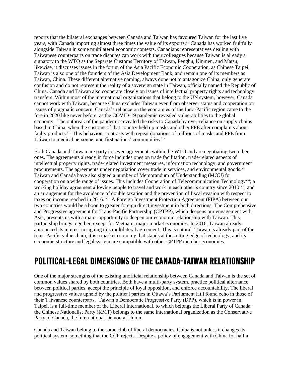reports that the bilateral exchanges between Canada and Taiwan has favoured Taiwan for the last five years, with Canada importing almost three times the value of its exports.<sup>xii</sup> Canada has worked fruitfully alongside Taiwan in some multilateral economic contexts. Canadians representatives dealing with Taiwanese counterparts on trade disputes can work with their colleagues because Taiwan is already a signatory to the WTO as the Separate Customs Territory of Taiwan, Penghu, Kinmen, and Matsu; likewise, it discusses issues in the forum of the Asia Pacific Economic Cooperation, as Chinese Taipei. Taiwan is also one of the founders of the Asia Development Bank, and remain one of its members as Taiwan, China. These different alternative naming, always done not to antagonize China, only generate confusion and do not represent the reality of a sovereign state in Taiwan, officially named the Republic of China. Canada and Taiwan also cooperate closely on issues of intellectual property rights and technology transfers. Within most of the international organizations that belong to the UN system, however, Canada cannot work with Taiwan, because China excludes Taiwan even from observer status and cooperation on issues of pragmatic concern. Canada's reliance on the economies of the Indo-Pacific region came to the fore in 2020 like never before, as the COVID-19 pandemic revealed vulnerabilities to the global economy. The outbreak of the pandemic revealed the risks to Canada by over-reliance on supply chains based in China, when the customs of that country held up masks and other PPE after complaints about faulty products.<sup>xiii</sup> This behaviour contrasts with repeat donations of millions of masks and PPE from Taiwan to medical personnel and first nations' communities.<sup>xiv</sup>

Both Canada and Taiwan are party to seven agreements within the WTO and are negotiating two other ones. The agreements already in force includes ones on trade facilitation, trade-related aspects of intellectual property rights, trade-related investment measures, information technology, and government procurements. The agreements under negotiation cover trade in services, and environmental goods.xv Taiwan and Canada have also signed a number of Memorandum of Understanding (MOU) for cooperation on a wide range of issues. This includes Cooperation of Telecommunication Technology<sup>xvi</sup>; a working holiday agreement allowing people to travel and work in each other's country since 2010<sup>xvii</sup>; and an arrangement for the avoidance of double taxation and the prevention of fiscal evasion with respect to taxes on income reached in 2016.<sup>xviii</sup> A Foreign Investment Protection Agreement (FIPA) between our two countries would be a boon to greater foreign direct investment in both directions. The Comprehensive and Progressive agreement for Trans-Pacific Partnership (CPTPP), which deepens our engagement with Asia, presents us with a major opportunity to deepen our economic relationship with Taiwan. This partnership brings together, except for Vietnam, major market economies. In 2016, Taiwan already announced its interest in signing this multilateral agreement. This is natural: Taiwan is already part of the trans-Pacific value chain, it is a market economy that stands at the cutting edge of technology, and its economic structure and legal system are compatible with other CPTPP member economies.

#### POLITICAL-LEGAL DIMENSIONS OF THE CANADA-TAIWAN RELATIONSHIP

One of the major strengths of the existing unofficial relationship between Canada and Taiwan is the set of common values shared by both countries. Both have a multi-party system, practice political alternance between political parties, accept the principle of loyal opposition, and enforce accountability. The liberal and progressive values upheld by the political parties in Ottawa's Parliament Hill found echo in those of their Taiwanese counterparts. Taiwan's Democratic Progressive Party (DPP), which is in power in Taipei, is a full-time member of the Liberal International, to which belongs the Liberal Party of Canada; the Chinese Nationalist Party (KMT) belongs to the same international organization as the Conservative Party of Canada, the International Democrat Union.

Canada and Taiwan belong to the same club of liberal democracies. China is not unless it changes its political system, something that the CCP rejects. Despite a policy of engagement with China for half a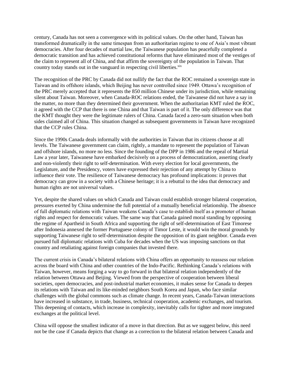century, Canada has not seen a convergence with its political values. On the other hand, Taiwan has transformed dramatically in the same timespan from an authoritarian regime to one of Asia's most vibrant democracies. After four decades of martial law, the Taiwanese population has peacefully completed a democratic transition and has achieved constitutional reforms that have eliminated most of the vestiges of the claim to represent all of China, and that affirm the sovereignty of the population in Taiwan. That country today stands out in the vanguard in respecting civil liberties.<sup>xix</sup>

The recognition of the PRC by Canada did not nullify the fact that the ROC remained a sovereign state in Taiwan and its offshore islands, which Beijing has never controlled since 1949. Ottawa's recognition of the PRC merely accepted that it represents the 850 million Chinese under its jurisdiction, while remaining silent about Taiwan. Moreover, when Canada-ROC relations ended, the Taiwanese did not have a say in the matter, no more than they determined their government. When the authoritarian KMT ruled the ROC, it agreed with the CCP that there is one China and that Taiwan is part of it. The only difference was that the KMT thought they were the legitimate rulers of China. Canada faced a zero-sum situation when both sides claimed all of China. This situation changed as subsequent governments in Taiwan have recognized that the CCP rules China.

Since the 1990s Canada deals informally with the authorities in Taiwan that its citizens choose at all levels. The Taiwanese government can claim, rightly, a mandate to represent the population of Taiwan and offshore islands, no more no less. Since the founding of the DPP in 1986 and the repeal of Martial Law a year later, Taiwanese have embarked decisively on a process of democratization, asserting clearly and non-violently their right to self-determination. With every election for local governments, the Legislature, and the Presidency, voters have expressed their rejection of any attempt by China to influence their vote. The resilience of Taiwanese democracy has profound implications: it proves that democracy can grow in a society with a Chinese heritage; it is a rebuttal to the idea that democracy and human rights are not universal values.

Yet, despite the shared values on which Canada and Taiwan could establish stronger bilateral cooperation, pressures exerted by China undermine the full potential of a mutually beneficial relationship. The absence of full diplomatic relations with Taiwan weakens Canada's case to establish itself as a promoter of human rights and respect for democratic values. The same way that Canada gained moral standing by opposing the regime of Apartheid in South Africa and supporting the right of self-determination of East Timorese after Indonesia annexed the former Portuguese colony of Timor Leste, it would win the moral grounds by supporting Taiwanese right to self-determination despite the opposition of its giant neighbor. Canada even pursued full diplomatic relations with Cuba for decades when the US was imposing sanctions on that country and retaliating against foreign companies that invested there.

The current crisis in Canada's bilateral relations with China offers an opportunity to reassess our relation across the board with China and other countries of the Indo-Pacific. Rethinking Canada's relations with Taiwan, however, means forging a way to go forward in that bilateral relation independently of the relation between Ottawa and Beijing. Viewed from the perspective of cooperation between liberal societies, open democracies, and post-industrial market economies, it makes sense for Canada to deepen its relations with Taiwan and its like-minded neighbors South Korea and Japan, who face similar challenges with the global commons such as climate change. In recent years, Canada-Taiwan interactions have increased in substance, in trade, business, technical cooperation, academic exchanges, and tourism. This deepening of contacts, which increase in complexity, inevitably calls for tighter and more integrated exchanges at the political level.

China will oppose the smallest indicator of a move in that direction. But as we suggest below, this need not be the case if Canada depicts that change as a correction to the bilateral relation between Canada and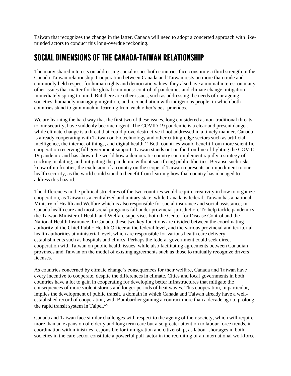Taiwan that recognizes the change in the latter. Canada will need to adopt a concerted approach with likeminded actors to conduct this long-overdue reckoning.

#### SOCIAL DIMENSIONS OF THE CANADA-TAIWAN RELATIONSHIP

The many shared interests on addressing social issues both countries face constitute a third strength in the Canada-Taiwan relationship. Cooperation between Canada and Taiwan rests on more than trade and commonly held respect for human rights and democratic values: they also have a mutual interest on many other issues that matter for the global commons: control of pandemics and climate change mitigation immediately spring to mind. But there are other issues, such as addressing the needs of our ageing societies, humanely managing migration, and reconciliation with indigenous people, in which both countries stand to gain much in learning from each other's best practices.

We are learning the hard way that the first two of these issues, long considered as non-traditional threats to our security, have suddenly become urgent. The COVID-19 pandemic is a clear and present danger, while climate change is a threat that could prove destructive if not addressed in a timely manner. Canada is already cooperating with Taiwan on biotechnology and other cutting-edge sectors such as artificial intelligence, the internet of things, and digital health.<sup>xx</sup> Both countries would benefit from more scientific cooperation receiving full government support. Taiwan stands out on the frontline of fighting the COVID-19 pandemic and has shown the world how a democratic country can implement rapidly a strategy of tracking, isolating, and mitigating the pandemic without sacrificing public liberties. Because such risks know of no frontier, the exclusion of a country on the scope of Taiwan represents an impediment to our health security, as the world could stand to benefit from learning how that country has managed to address this hazard.

The differences in the political structures of the two countries would require creativity in how to organize cooperation, as Taiwan is a centralized and unitary state, while Canada is federal. Taiwan has a national Ministry of Health and Welfare which is also responsible for social insurance and social assistance; in Canada health care and most social programs fall under provincial jurisdiction. To help tackle pandemics, the Taiwan Minister of Health and Welfare supervises both the Center for Disease Control and the National Health Insurance. In Canada, these two key functions are divided between the coordinating authority of the Chief Public Health Officer at the federal level, and the various provincial and territorial health authorities at ministerial level, which are responsible for various health care delivery establishments such as hospitals and clinics. Perhaps the federal government could seek direct cooperation with Taiwan on public health issues, while also facilitating agreements between Canadian provinces and Taiwan on the model of existing agreements such as those to mutually recognize drivers' licenses.

As countries concerned by climate change's consequences for their welfare, Canada and Taiwan have every incentive to cooperate, despite the differences in climate. Cities and local governments in both countries have a lot to gain in cooperating for developing better infrastructures that mitigate the consequences of more violent storms and longer periods of heat waves. This cooperation, in particular, implies the development of public transit, a domain in which Canada and Taiwan already have a wellestablished record of cooperation, with Bombardier gaining a contract more than a decade ago to prolong the rapid transit system in Taipei.<sup>xxi</sup>

Canada and Taiwan face similar challenges with respect to the ageing of their society, which will require more than an expansion of elderly and long term care but also greater attention to labour force trends, in coordination with ministries responsible for immigration and citizenship, as labour shortages in both societies in the care sector constitute a powerful pull factor in the recruiting of an international workforce.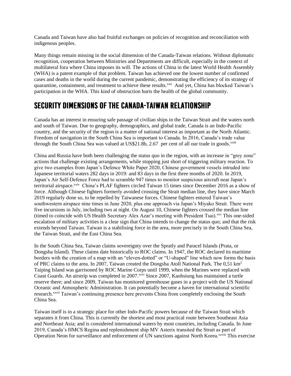Canada and Taiwan have also had fruitful exchanges on policies of recognition and reconciliation with indigenous peoples.

Many things remain missing in the social dimension of the Canada-Taiwan relations. Without diplomatic recognition, cooperation between Ministries and Departments are difficult, especially in the context of multilateral fora where China imposes its will. The actions of China in the latest World Health Assembly (WHA) is a patent example of that problem. Taiwan has achieved one the lowest number of confirmed cases and deaths in the world during the current pandemic, demonstrating the efficiency of its strategy of quarantine, containment, and treatment to achieve these results.<sup>xxii</sup> And yet, China has blocked Taiwan's participation in the WHA. This kind of obstruction hurts the health of the global community.

#### SECURITY DIMENSIONS OF THE CANADA-TAIWAN RELATIONSHIP

Canada has an interest in ensuring safe passage of civilian ships in the Taiwan Strait and the waters north and south of Taiwan. Due to geography, demographics, and global trade, Canada is an Indo-Pacific country, and the security of the region is a matter of national interest as important as the North Atlantic. Freedom of navigation in the South China Sea is important to Canada. In 2016, Canada's trade value through the South China Sea was valued at US\$21.8b, 2.67 per cent of all our trade in goods.<sup>xxiii</sup>

China and Russia have both been challenging the status quo in the region, with an increase in "grey zone" actions that challenge existing arrangements, while stopping just short of triggering military reaction. To give two examples from Japan's Defence White Paper 2020, Chinese government vessels intruded into Japanese territorial waters 282 days in 2019: and 83 days in the first three months of 2020. In 2019, Japan's Air Self-Defence Force had to scramble 947 times to monitor suspicious aircraft near Japan's territorial airspace.<sup>xxiv</sup> China's PLAF fighters circled Taiwan 15 times since December 2016 as a show of force. Although Chinese fighters formerly avoided crossing the Strait median line, they have since March 2019 regularly done so, to be repelled by Taiwanese forces. Chinese fighters entered Taiwan's southwestern airspace nine times in June 2020, plus one approach via Japan's Miyako Strait. There were five incursions in July, including two at night. On August 10, Chinese fighters crossed the median line (timed to coincide with US Health Secretary Alex Azar's meeting with President Tsai).xxv This one-sided escalation of military activities is a clear sign that China intends to change the status quo; and that the risk extends beyond Taiwan. Taiwan is a stabilising force in the area, more precisely in the South China Sea, the Taiwan Strait, and the East China Sea.

In the South China Sea, Taiwan claims sovereignty over the Spratly and Paracel Islands (Prata, or Dongsha Island). These claims date historically to ROC claims. In 1947, the ROC declared its maritime borders with the creation of a map with an "eleven-dotted" or "U-shaped" line which now forms the basis of PRC claims to the area. In 2007, Taiwan created the Dongsha Atoll National Park. The 0,51 km<sup>2</sup> Taiping Island was garrisoned by ROC Marine Corps until 1999, when the Marines were replaced with Coast Guards. An airstrip was completed in 2007.<sup>xxvi</sup> Since 2007, Kaohsiung has maintained a turtle reserve there; and since 2009, Taiwan has monitored greenhouse gases in a project with the US National Oceanic and Atmospheric Administration. It can potentially become a haven for international scientific research.xxvii Taiwan's continuing presence here prevents China from completely enclosing the South China Sea.

Taiwan itself is in a strategic place for other Indo-Pacific powers because of the Taiwan Strait which separates it from China. This is currently the shortest and most practical route between Southeast Asia and Northeast Asia; and is considered international waters by most countries, including Canada. In June 2019, Canada's HMCS Regina and replenishment ship MV Asterix transited the Strait as part of Operation Neon for surveillance and enforcement of UN sanctions against North Korea.<sup>xxviii</sup> This exercise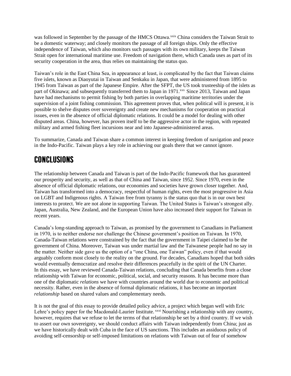was followed in September by the passage of the HMCS Ottawa.<sup>xxix</sup> China considers the Taiwan Strait to be a domestic waterway; and closely monitors the passage of all foreign ships. Only the effective independence of Taiwan, which also monitors such passages with its own military, keeps the Taiwan Strait open for international maritime use. Freedom of navigation there, which Canada uses as part of its security cooperation in the area, thus relies on maintaining the status quo.

Taiwan's role in the East China Sea, in appearance at least, is complicated by the fact that Taiwan claims five islets, known as Diaoyutai in Taiwan and Senkaku in Japan, that were administered from 1895 to 1945 from Taiwan as part of the Japanese Empire. After the SFPT, the US took trusteeship of the islets as part of Okinawa; and subsequently transferred them to Japan in 1971.<sup>xxx</sup> Since 2013, Taiwan and Japan have had mechanisms to permit fishing by both parties in overlapping maritime territories under the supervision of a joint fishing commission. This agreement proves that, when political will is present, it is possible to shelve disputes over sovereignty and create new mechanisms for cooperation on practical issues, even in the absence of official diplomatic relations. It could be a model for dealing with other disputed areas. China, however, has proven itself to be the aggressive actor in the region, with repeated military and armed fishing fleet incursions near and into Japanese-administered areas.

To summarize, Canada and Taiwan share a common interest in keeping freedom of navigation and peace in the Indo-Pacific. Taiwan plays a key role in achieving our goals there that we cannot ignore.

#### **CONCLUSIONS**

The relationship between Canada and Taiwan is part of the Indo-Pacific framework that has guaranteed our prosperity and security, as well as that of China and Taiwan, since 1952. Since 1970, even in the absence of official diplomatic relations, our economies and societies have grown closer together. And, Taiwan has transformed into a democracy, respectful of human rights, even the most progressive in Asia on LGBT and Indigenous rights. A Taiwan free from tyranny is the status quo that is in our own best interests to protect. We are not alone in supporting Taiwan. The United States is Taiwan's strongest ally. Japan, Australia, New Zealand, and the European Union have also increased their support for Taiwan in recent years.

Canada's long-standing approach to Taiwan, as promised by the government to Canadians in Parliament in 1970, is to neither endorse nor challenge the Chinese government's position on Taiwan. In 1970, Canada-Taiwan relations were constrained by the fact that the government in Taipei claimed to be the government of China. Moreover, Taiwan was under martial law and the Taiwanese people had no say in the matter. Neither side gave us the option of a "one China, one Taiwan" policy, even if that would arguably conform most closely to the reality on the ground. For decades, Canadians hoped that both sides would eventually democratize and resolve their differences peacefully in the spirit of the UN Charter. In this essay, we have reviewed Canada-Taiwan relations, concluding that Canada benefits from a close relationship with Taiwan for economic, political, social, and security reasons. It has become more than one of the diplomatic *relations* we have with countries around the world due to economic and political necessity. Rather, even in the absence of formal diplomatic relations, it has become an important *relationship* based on shared values and complementary needs.

It is not the goal of this essay to provide detailed policy advice, a project which began well with Eric Lehre's policy paper for the Macdonald-Laurier Institute. *xxxi* Nourishing a relationship with any country, however, requires that we refuse to let the terms of that relationship be set by a third country. If we wish to assert our own sovereignty, we should conduct affairs with Taiwan independently from China; just as we have historically dealt with Cuba in the face of US sanctions. This includes an assiduous policy of avoiding self-censorship or self-imposed limitations on relations with Taiwan out of fear of somehow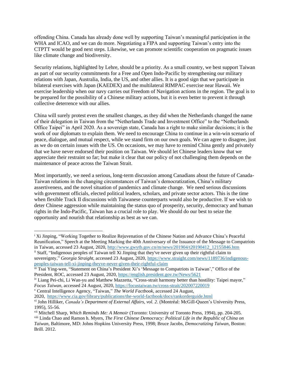offending China. Canada has already done well by supporting Taiwan's meaningful participation in the WHA and ICAO, and we can do more. Negotiating a FIPA and supporting Taiwan's entry into the CTPTT would be good next steps. Likewise, we can promote scientific cooperation on pragmatic issues like climate change and biodiversity.

Security relations, highlighted by Lehre, should be a priority. As a small country, we best support Taiwan as part of our security commitments for a Free and Open Indo-Pacific by strengthening our military relations with Japan, Australia, India, the US, and other allies. It is a good sign that we participate in bilateral exercises with Japan (KAEDEX) and the multilateral RIMPAC exercise near Hawaii. We exercise leadership when our navy carries out Freedom of Navigation actions in the region. The goal is to be prepared for the possibility of a Chinese military actions, but it is even better to prevent it through collective deterrence with our allies.

China will surely protest even the smallest changes, as they did when the Netherlands changed the name of their delegation in Taiwan from the "Netherlands Trade and Investment Office" to the "Netherlands Office Taipei" in April 2020. As a sovereign state, Canada has a right to make similar decisions; it is the work of our diplomats to explain them. We need to encourage China to continue in a win-win scenario of peace, dialogue, and mutual respect, while we stand firm on our own goals. We can agree to disagree, just as we do on certain issues with the US. On occasions, we may have to remind China gently and privately that we have never endorsed their position on Taiwan. We should let Chinese leaders know that we appreciate their restraint so far; but make it clear that our policy of not challenging them depends on the maintenance of peace across the Taiwan Strait.

Most importantly, we need a serious, long-term discussion among Canadians about the future of Canada-Taiwan relations in the changing circumstances of Taiwan's democratization, China's military assertiveness, and the novel situation of pandemics and climate change. We need serious discussions with government officials, elected political leaders, scholars, and private sector actors. This is the time when flexible Track II discussions with Taiwanese counterparts would also be productive. If we wish to deter Chinese aggression while maintaining the status quo of prosperity, security, democracy and human rights in the Indo-Pacific, Taiwan has a crucial role to play. We should do our best to seize the opportunity and nourish that relationship as best as we can.

ii Staff, "Indigenous peoples of Taiwan tell Xi Jinping that they've never given up their rightful claim to sovereignty," *Georgia Straight*, accessed 23 August, 2020, [https://www.straight.com/news/1189736/indigenous](https://www.straight.com/news/1189736/indigenous-peoples-taiwan-tell-xi-jinping-theyve-never-given-their-rightful-claim)[peoples-taiwan-tell-xi-jinping-theyve-never-given-their-rightful-claim](https://www.straight.com/news/1189736/indigenous-peoples-taiwan-tell-xi-jinping-theyve-never-given-their-rightful-claim)

<sup>v</sup> Central Intelligence Agency, "Taiwan," *The World Factbook*, accessed 24 August,

<sup>i</sup> Xi Jinping, "Working Together to Realize Rejuvenation of the Chinese Nation and Advance China's Peaceful Reunification," Speech at the Meeting Marking the 40th Anniversary of the Issuance of the Message to Compatriots in Taiwan, accessed 23 August, 2020, [http://www.gwytb.gov.cn/m/news/201904/t20190412\\_12155846.htm](http://www.gwytb.gov.cn/m/news/201904/t20190412_12155846.htm)

iii Tsai Ying-wen, "Statement on China's President Xi's 'Message to Compatriots in Taiwan'," Office of the President, ROC, accessed 23 August, 2020, <https://english.president.gov.tw/News/5621>

iv Liang Pei-chi, Li Wan-yu and Matthew Mazzetta, "Cross-strait harmony better than hostility: Taipei mayor," *Focus Taiwan*, accessed 24 August, 2020, <https://focustaiwan.tw/cross-strait/202007220019>

<sup>2020,</sup> <https://www.cia.gov/library/publications/the-world-factbook/docs/rankorderguide.html> vi John Hilliker, *Canada's Department of External Affairs, vol. 2*. (Montréal: McGill-Queen's University Press, 1995), 55-56.

vii Mitchell Sharp, *Which Reminds Me: A Memoir* (Toronto: University of Toronto Press, 1994), pp. 204-205.

viii Linda Chao and Ramon h. Myers, *The First Chinese Democracy: Political Life in the Republic of China on Taiwan*, Baltimore, MD: Johns Hopkins University Press, 1998; Bruce Jacobs, *Democratizing Taiwan*, Boston: Brill. 2012.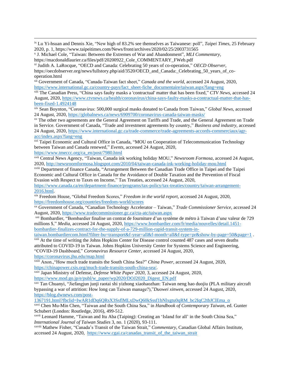ix Lu Yi-hsuan and Dennis Xie, "New high of 83.2% see themselves as Taiwanese: poll", *Taipei Times*, 25 February 2020, p. 1, https://www.taipeitimes.com/News/front/archives/2020/02/25/2003731565

x J. Michael Cole, "Taiwan: Between the Extremes of War and Abandonment", *MLI Commentary*,

xi Judith A. LaRocque, "OECD and Canada: Celebrating 50 years of co-operation," *OECD Observer*, https://oecdobserver.org/news/fullstory.php/aid/3520/OECD\_and\_Canada:\_Celebrating\_50\_years\_of\_cooperation.html

xii Government of Canada, "Canada-Taiwan fact sheet," *Canada and the world*, accessed 24 August, 2020, [https://www.international.gc.ca/country-pays/fact\\_sheet-fiche\\_documentaire/taiwan.aspx?lang=eng](https://www.international.gc.ca/country-pays/fact_sheet-fiche_documentaire/taiwan.aspx?lang=eng)

xiii The Canadian Press, "China says faulty masks a 'contractual' matter that has been fixed," *CTV News*, accessed 24 August, 2020, [https://www.ctvnews.ca/health/coronavirus/china-says-faulty-masks-a-contractual-matter-that-has](https://www.ctvnews.ca/health/coronavirus/china-says-faulty-masks-a-contractual-matter-that-has-been-fixed-1.4924148)[been-fixed-1.4924148](https://www.ctvnews.ca/health/coronavirus/china-says-faulty-masks-a-contractual-matter-that-has-been-fixed-1.4924148)

xiv Sean Boynton, "Coronavirus: 500,000 surgical masks donated to Canada from Taiwan," *Global News*, accessed 24 August, 2020, <https://globalnews.ca/news/6909700/coronavirus-canada-taiwan-masks/>

<sup>xv</sup> The other two agreements are the General Agreement on Tariffs and Trade, and the General Agreement on Trade in Service. Government of Canada, "Trade and investment agreements by country," *Business and industry*, accessed 24 August, 2020, [https://www.international.gc.ca/trade-commerce/trade-agreements-accords-commerciaux/agr](https://www.international.gc.ca/trade-commerce/trade-agreements-accords-commerciaux/agr-acc/index.aspx?lang=eng)[acc/index.aspx?lang=eng](https://www.international.gc.ca/trade-commerce/trade-agreements-accords-commerciaux/agr-acc/index.aspx?lang=eng)

xvi Taipei Economic and Cultural Office in Canada, "MOU on Cooperation of Telecommunication Technology between Taiwan and Canada renewed," *Events*, accessed 24 August, 2020,

[https://www.tmeccc.org/ca\\_en/post/7980.html](https://www.tmeccc.org/ca_en/post/7980.html) 

xvii Central News Agency, "Taiwan, Canada ink working holiday MOU," *Newsroom Formosa*, accessed 24 August, 2020, <http://newsroomformosa.blogspot.com/2010/04/taiwan-canada-ink-working-holiday-mou.html>

xviii Department of finance Canada, "Arrangement Between the Canadian Trade Office in Taipei and the Taipei Economic and Cultural Office in Canada for the Avoidance of Double Taxation and the Prevention of Fiscal Evasion with Respect to Taxes on Income," Tax Treaties, accessed 24 August, 2020,

[https://www.canada.ca/en/department-finance/programs/tax-policy/tax-treaties/country/taiwan-arrangement-](https://www.canada.ca/en/department-finance/programs/tax-policy/tax-treaties/country/taiwan-arrangement-2016.html)[2016.html.](https://www.canada.ca/en/department-finance/programs/tax-policy/tax-treaties/country/taiwan-arrangement-2016.html)

xix Freedom House, "Global Freedom Scores," *Freedom in the world report*, accessed 24 August, 2020, <https://freedomhouse.org/countries/freedom-world/scores>

xx Government of Canada, "Canadian Technology Accelerator – Taiwan," *Trade Commissioner Service*, accessed 24 August, 2020, <https://www.tradecommissioner.gc.ca/cta-atc/taiwan.aspx>

xxi Bombardier, "Bombardier finalise un contrat de fourniture d'un système de métro à Taiwan d'une valeur de 729 millions \$," *Media*, accessed 24 August, 2020, [https://www.bombardier.com/fr/media/nouvelles/detail.1451](https://www.bombardier.com/fr/media/nouvelles/detail.1451-bombardier-finalizes-contract-for-the-supply-of-a-729-million-rapid-transit-system-in-taiwan.bombardiercom.html?filter-bu=transport&f-year=all&f-month=all&f-type=pr&show-by-page=50&page=1) [bombardier-finalizes-contract-for-the-supply-of-a-729-million-rapid-transit-system-in-](https://www.bombardier.com/fr/media/nouvelles/detail.1451-bombardier-finalizes-contract-for-the-supply-of-a-729-million-rapid-transit-system-in-taiwan.bombardiercom.html?filter-bu=transport&f-year=all&f-month=all&f-type=pr&show-by-page=50&page=1)

[taiwan.bombardiercom.html?filter-bu=transport&f-year=all&f-month=all&f-type=pr&show-by-page=50&page=1](https://www.bombardier.com/fr/media/nouvelles/detail.1451-bombardier-finalizes-contract-for-the-supply-of-a-729-million-rapid-transit-system-in-taiwan.bombardiercom.html?filter-bu=transport&f-year=all&f-month=all&f-type=pr&show-by-page=50&page=1). <sup>xxii</sup> At the time of writing the Johns Hopkins Center for Disease control counted 487 cases and seven deaths

attributed to COVID-19 in Taiwan. Johns Hopkins University Center for Systems Science and Engineering, "COVID-19 Dashboard," *Coronavirus Resource Center*, accessed 24 August, 2020,

<https://coronavirus.jhu.edu/map.html>

xxiii Anon.,"How much trade transits the South China Sea?" *China Power*, accessed 24 August, 2020, [https://chinapower.csis.org/much-trade-transits-south-china-sea/.](https://chinapower.csis.org/much-trade-transits-south-china-sea/)

xxiv Japan Ministry of Defense, *Defense White Paper 2020*, 3, accessed 24 August, 2020, [https://www.mod.go.jp/e/publ/w\\_paper/wp2020/DOJ2020\\_Digest\\_EN.pdf](https://www.mod.go.jp/e/publ/w_paper/wp2020/DOJ2020_Digest_EN.pdf)

xxv Tan Chuanyi, "Jiefangjun junji raotai shi yizhong xiaohaozhan: Taiwan neng hao duojiu (PLA military aircraft bypassing a war of attrition: How long can Taiwan manage?),"*Duowei xinwen*, accessed 24 August, 2020, [https://blog.dwnews.com/post-](https://blog.dwnews.com/post-1367191.html?fbclid=IwAR1dDq6QRsX3SsflMLxDwQ60kSssf1bNlxgtu0qRM_bc2IqC2tbJClEma_o)

[1367191.html?fbclid=IwAR1dDq6QRsX3SsflMLxDwQ60kSssf1bNlxgtu0qRM\\_bc2IqC2tbJClEma\\_o](https://blog.dwnews.com/post-1367191.html?fbclid=IwAR1dDq6QRsX3SsflMLxDwQ60kSssf1bNlxgtu0qRM_bc2IqC2tbJClEma_o)

xxvi Chen Mu-Min Chen, "Taiwan and the South China Sea," in *Handbook of Contemporary Taiwan*, ed. Gunter Schubert (London: Routledge, 2016), 499-512.

xxvii Leonard Hamme, "Taiwan and Itu Aba (Taiping): Creating an 'Island for all' in the South China Sea," *International Journal of Taiwan Studies* 3, no. 1 (2020), 93-111.

xxviii Mathew Fisher, "Canada's Transit of the Taiwan Strait," *Commentary*, Canadian Global Affairs Institute, accessed 24 August, 2020, [https://www.cgai.ca/canadas\\_transit\\_of\\_the\\_taiwan\\_strait](https://www.cgai.ca/canadas_transit_of_the_taiwan_strait)

https://macdonaldlaurier.ca/files/pdf/20200922\_Cole\_COMMENTARY\_FWeb.pdf